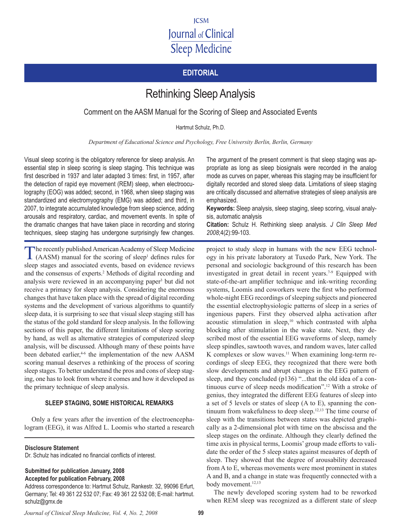# **ICSM Journal of Clinical Sleep Medicine**

# **Editorial**

# Rethinking Sleep Analysis

Comment on the AASM Manual for the Scoring of Sleep and Associated Events

Hartmut Schulz, Ph.D.

*Department of Educational Science and Psychology, Free University Berlin, Berlin, Germany*

Visual sleep scoring is the obligatory reference for sleep analysis. An essential step in sleep scoring is sleep staging. This technique was first described in 1937 and later adapted 3 times: first, in 1957, after the detection of rapid eye movement (REM) sleep, when electrooculography (EOG) was added; second, in 1968, when sleep staging was standardized and electromyography (EMG) was added; and third, in 2007, to integrate accumulated knowledge from sleep science, adding arousals and respiratory, cardiac, and movement events. In spite of the dramatic changes that have taken place in recording and storing techniques, sleep staging has undergone surprisingly few changes.

The recently published American Academy of Sleep Medicine (AASM) manual for the scoring of sleep<sup>1</sup> defines rules for sleep stages and associated events, based on evidence reviews and the consensus of experts.<sup>2</sup> Methods of digital recording and analysis were reviewed in an accompanying paper<sup>3</sup> but did not receive a primacy for sleep analysis. Considering the enormous changes that have taken place with the spread of digital recording systems and the development of various algorithms to quantify sleep data, it is surprising to see that visual sleep staging still has the status of the gold standard for sleep analysis. In the following sections of this paper, the different limitations of sleep scoring by hand, as well as alternative strategies of computerized sleep analysis, will be discussed. Although many of these points have been debated earlier,<sup>46</sup> the implementation of the new AASM scoring manual deserves a rethinking of the process of scoring sleep stages. To better understand the pros and cons of sleep staging, one has to look from where it comes and how it developed as the primary technique of sleep analysis.

### **Sleep Staging, Some Historical Remarks**

Only a few years after the invention of the electroencephalogram (EEG), it was Alfred L. Loomis who started a research

**Disclosure Statement**

Dr. Schulz has indicated no financial conflicts of interest.

**Submitted for publication January, 2008 Accepted for publication February, 2008**

Address correspondence to: Hartmut Schulz, Rankestr. 32, 99096 Erfurt, Germany; Tel: 49 361 22 532 07; Fax: 49 361 22 532 08; E-mail: hartmut. schulz@gmx.de

*Journal of Clinical Sleep Medicine, Vol. 4, No. 2, 2008* **99**

The argument of the present comment is that sleep staging was appropriate as long as sleep biosignals were recorded in the analog mode as curves on paper, whereas this staging may be insufficient for digitally recorded and stored sleep data. Limitations of sleep staging are critically discussed and alternative strategies of sleep analysis are emphasized.

**Keywords:** Sleep analysis, sleep staging, sleep scoring, visual analysis, automatic analysis

**Citation:** Schulz H. Rethinking sleep analysis. *J Clin Sleep Med 2008*;4(2):99-103.

project to study sleep in humans with the new EEG technology in his private laboratory at Tuxedo Park, New York. The personal and sociologic background of this research has been investigated in great detail in recent years.<sup> $7-9$ </sup> Equipped with state-of-the-art amplifier technique and ink-writing recording systems, Loomis and coworkers were the first who performed whole-night EEG recordings of sleeping subjects and pioneered the essential electrophysiologic patterns of sleep in a series of ingenious papers. First they observed alpha activation after acoustic stimulation in sleep, $10$  which contrasted with alpha blocking after stimulation in the wake state. Next, they described most of the essential EEG waveforms of sleep, namely sleep spindles, sawtooth waves, and random waves, later called K complexes or slow waves.<sup>11</sup> When examining long-term recordings of sleep EEG, they recognized that there were both slow developments and abrupt changes in the EEG pattern of sleep, and they concluded (p136) "...that the old idea of a continuous curve of sleep needs modification".12 With a stroke of genius, they integrated the different EEG features of sleep into a set of 5 levels or states of sleep (A to E), spanning the continuum from wakefulness to deep sleep. $12,13$  The time course of sleep with the transitions between states was depicted graphically as a 2-dimensional plot with time on the abscissa and the sleep stages on the ordinate. Although they clearly defined the time axis in physical terms, Loomis' group made efforts to validate the order of the 5 sleep states against measures of depth of sleep. They showed that the degree of arousability decreased from A to E, whereas movements were most prominent in states A and B, and a change in state was frequently connected with a body movement.<sup>12,13</sup>

The newly developed scoring system had to be reworked when REM sleep was recognized as a different state of sleep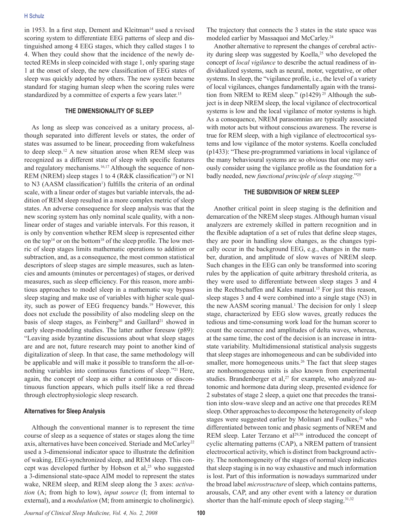in 1953. In a first step, Dement and Kleitman<sup>14</sup> used a revised scoring system to differentiate EEG patterns of sleep and distinguished among 4 EEG stages, which they called stages 1 to 4. When they could show that the incidence of the newly detected REMs in sleep coincided with stage 1, only sparing stage 1 at the onset of sleep, the new classification of EEG states of sleep was quickly adopted by others. The new system became standard for staging human sleep when the scoring rules were standardized by a committee of experts a few years later.<sup>15</sup>

#### **The Dimensionality of Sleep**

As long as sleep was conceived as a unitary process, although separated into different levels or states, the order of states was assumed to be linear, proceeding from wakefulness to deep sleep.12 A new situation arose when REM sleep was recognized as a different state of sleep with specific features and regulatory mechanisms.<sup>16,17</sup> Although the sequence of non-REM (NREM) sleep stages 1 to 4 (R&K classification<sup>15</sup>) or N1 to  $N3$  (AASM classification<sup>1</sup>) fulfills the criteria of an ordinal scale, with a linear order of stages but variable intervals, the addition of REM sleep resulted in a more complex metric of sleep states. An adverse consequence for sleep analysis was that the new scoring system has only nominal scale quality, with a nonlinear order of stages and variable intervals. For this reason, it is only by convention whether REM sleep is represented either on the top<sup>14</sup> or on the bottom<sup>18</sup> of the sleep profile. The low metric of sleep stages limits mathematic operations to addition or subtraction, and, as a consequence, the most common statistical descriptors of sleep stages are simple measures, such as latencies and amounts (minutes or percentages) of stages, or derived measures, such as sleep efficiency. For this reason, more ambitious approaches to model sleep in a mathematic way bypass sleep staging and make use of variables with higher scale quality, such as power of EEG frequency bands.<sup>19</sup> However, this does not exclude the possibility of also modeling sleep on the basis of sleep stages, as Feinberg<sup>20</sup> and Gaillard<sup>21</sup> showed in early sleep-modeling studies. The latter author foresaw (p89): "Leaving aside byzantine discussions about what sleep stages are and are not, future research may point to another kind of digitalization of sleep. In that case, the same methodology will be applicable and will make it possible to transform the all-ornothing variables into continuous functions of sleep."21 Here, again, the concept of sleep as either a continuous or discontinuous function appears, which pulls itself like a red thread through electrophysiologic sleep research.

#### **Alternatives for Sleep Analysis**

Although the conventional manner is to represent the time course of sleep as a sequence of states or stages along the time axis, alternatives have been conceived. Steriade and McCarley<sup>22</sup> used a 3-dimensional indicator space to illustrate the definition of waking, EEG-synchronized sleep, and REM sleep. This concept was developed further by Hobson et al,<sup>23</sup> who suggested a 3-dimensional state-space AIM model to represent the states wake, NREM sleep, and REM sleep along the 3 axes: *activation* (A; from high to low), *input source* (I; from internal to external), and a *modulation* (M; from aminergic to cholinergic).

The trajectory that connects the 3 states in the state space was modeled earlier by Massaquoi and McCarley.<sup>24</sup>

Another alternative to represent the changes of cerebral activity during sleep was suggested by Koella,<sup>25</sup> who developed the concept of *local vigilance* to describe the actual readiness of individualized systems, such as neural, motor, vegetative, or other systems. In sleep, the "vigilance profile, i.e., the level of a variety of local vigilances, changes fundamentally again with the transition from NREM to REM sleep."  $(p1429)^{25}$  Although the subject is in deep NREM sleep, the local vigilance of electrocortical systems is low and the local vigilance of motor systems is high. As a consequence, NREM parasomnias are typically associated with motor acts but without conscious awareness. The reverse is true for REM sleep, with a high vigilance of electrocortical systems and low vigilance of the motor systems. Koella concluded (p1433): "These pre-programmed variations in local vigilance of the many behavioural systems are so obvious that one may seriously consider using the vigilance profile as the foundation for a badly needed, new *functional principle of sleep staging*."<sup>25</sup>

#### **The Subdivision of NREM Sleep**

Another critical point in sleep staging is the definition and demarcation of the NREM sleep stages. Although human visual analyzers are extremely skilled in pattern recognition and in the flexible adaptation of a set of rules that define sleep stages, they are poor in handling slow changes, as the changes typically occur in the background EEG, e.g., changes in the number, duration, and amplitude of slow waves of NREM sleep. Such changes in the EEG can only be transformed into scoring rules by the application of quite arbitrary threshold criteria, as they were used to differentiate between sleep stages 3 and 4 in the Rechtschaffen and Kales manual.<sup>15</sup> For just this reason, sleep stages 3 and 4 were combined into a single stage (N3) in the new AASM scoring manual.<sup>1</sup> The decision for only 1 sleep stage, characterized by EEG slow waves, greatly reduces the tedious and time-consuming work load for the human scorer to count the occurrence and amplitudes of delta waves, whereas, at the same time, the cost of the decision is an increase in intrastate variability. Multidimensional statistical analysis suggests that sleep stages are inhomogeneous and can be subdivided into smaller, more homogeneous units.<sup>26</sup> The fact that sleep stages are nonhomogeneous units is also known from experimental studies. Brandenberger et al,<sup>27</sup> for example, who analyzed autonomic and hormone data during sleep, presented evidence for 2 substates of stage 2 sleep, a quiet one that precedes the transition into slow-wave sleep and an active one that precedes REM sleep. Other approaches to decompose the heterogeneity of sleep stages were suggested earlier by Molinari and Foulkes,<sup>28</sup> who differentiated between tonic and phasic segments of NREM and REM sleep. Later Terzano et al<sup>29,30</sup> introduced the concept of cyclic alternating patterns (CAP), a NREM pattern of transient electrocortical activity, which is distinct from background activity. The nonhomogeneity of the stages of normal sleep indicates that sleep staging is in no way exhaustive and much information is lost. Part of this information is nowadays summarized under the broad label *microstructure* of sleep, which contains patterns, arousals, CAP, and any other event with a latency or duration shorter than the half-minute epoch of sleep staging. $31,32$ 

*Journal of Clinical Sleep Medicine, Vol. 4, No. 2, 2008* **100**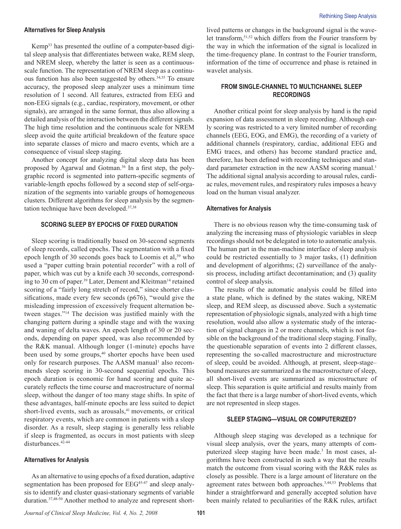#### **Alternatives for Sleep Analysis**

Kemp33 has presented the outline of a computer-based digital sleep analysis that differentiates between wake, REM sleep, and NREM sleep, whereby the latter is seen as a continuousscale function. The representation of NREM sleep as a continuous function has also been suggested by others.34,35 To ensure accuracy, the proposed sleep analyzer uses a minimum time resolution of 1 second. All features, extracted from EEG and non-EEG signals (e.g., cardiac, respiratory, movement, or other signals), are arranged in the same format, thus also allowing a detailed analysis of the interaction between the different signals. The high time resolution and the continuous scale for NREM sleep avoid the quite artificial breakdown of the feature space into separate classes of micro and macro events, which are a consequence of visual sleep staging.

Another concept for analyzing digital sleep data has been proposed by Agarwal and Gotman.<sup>36</sup> In a first step, the polygraphic record is segmented into pattern-specific segments of variable-length epochs followed by a second step of self-organization of the segments into variable groups of homogeneous clusters. Different algorithms for sleep analysis by the segmentation technique have been developed.37,38

## **Scoring Sleep by Epochs of Fixed Duration**

Sleep scoring is traditionally based on 30-second segments of sleep records, called epochs. The segmentation with a fixed epoch length of 30 seconds goes back to Loomis et al,<sup>39</sup> who used a "paper cutting brain potential recorder" with a roll of paper, which was cut by a knife each 30 seconds, corresponding to 30 cm of paper.<sup>39</sup> Later, Dement and Kleitman<sup>14</sup> retained scoring of a "fairly long stretch of record," since shorter classifications, made every few seconds (p676), "would give the misleading impression of excessively frequent alternation between stages."<sup>14</sup> The decision was justified mainly with the changing pattern during a spindle stage and with the waxing and waning of delta waves. An epoch length of 30 or 20 seconds, depending on paper speed, was also recommended by the R&K manual. Although longer (1-minute) epochs have been used by some groups,<sup>40</sup> shorter epochs have been used only for research purposes. The AASM manual<sup>1</sup> also recommends sleep scoring in 30-second sequential epochs. This epoch duration is economic for hand scoring and quite accurately reflects the time course and macrostructure of normal sleep, without the danger of too many stage shifts. In spite of these advantages, half-minute epochs are less suited to depict short-lived events, such as arousals,<sup>41</sup> movements, or critical respiratory events, which are common in patients with a sleep disorder. As a result, sleep staging is generally less reliable if sleep is fragmented, as occurs in most patients with sleep disturbances.<sup>42-44</sup>

#### **Alternatives for Analysis**

As an alternative to using epochs of a fixed duration, adaptive segmentation has been proposed for EEG<sup>45-47</sup> and sleep analysis to identify and cluster quasi-stationary segments of variable duration.37,48-50 Another method to analyze and represent shortlived patterns or changes in the background signal is the wavelet transform,51,52 which differs from the Fourier transform by the way in which the information of the signal is localized in the time-frequency plane. In contrast to the Fourier transform, information of the time of occurrence and phase is retained in wavelet analysis.

### **From Single-Channel to Multichannel Sleep Recordings**

Another critical point for sleep analysis by hand is the rapid expansion of data assessment in sleep recording. Although early scoring was restricted to a very limited number of recording channels (EEG, EOG, and EMG), the recording of a variety of additional channels (respiratory, cardiac, additional EEG and EMG traces, and others) has become standard practice and, therefore, has been defined with recording techniques and standard parameter extraction in the new AASM scoring manual.<sup>1</sup> The additional signal analysis according to arousal rules, cardiac rules, movement rules, and respiratory rules imposes a heavy load on the human visual analyzer.

#### **Alternatives for Analysis**

There is no obvious reason why the time-consuming task of analyzing the increasing mass of physiologic variables in sleep recordings should not be delegated in toto to automatic analysis. The human part in the man-machine interface of sleep analysis could be restricted essentially to 3 major tasks, (1) definition and development of algorithms; (2) surveillance of the analysis process, including artifact decontamination; and (3) quality control of sleep analysis.

The results of the automatic analysis could be filled into a state plane, which is defined by the states waking, NREM sleep, and REM sleep, as discussed above. Such a systematic representation of physiologic signals, analyzed with a high time resolution, would also allow a systematic study of the interaction of signal changes in 2 or more channels, which is not feasible on the background of the traditional sleep staging. Finally, the questionable separation of events into 2 different classes, representing the so-called macrostructure and microstructure of sleep, could be avoided. Although, at present, sleep-stage– bound measures are summarized as the macrostructure of sleep, all short-lived events are summarized as microstructure of sleep. This separation is quite artificial and results mainly from the fact that there is a large number of short-lived events, which are not represented in sleep stages.

#### **Sleep Staging—Visual or Computerized?**

Although sleep staging was developed as a technique for visual sleep analysis, over the years, many attempts of computerized sleep staging have been made.<sup>3</sup> In most cases, algorithms have been constructed in such a way that the results match the outcome from visual scoring with the R&K rules as closely as possible. There is a large amount of literature on the agreement rates between both approaches.3,44,53 Problems that hinder a straightforward and generally accepted solution have been mainly related to peculiarities of the R&K rules, artifact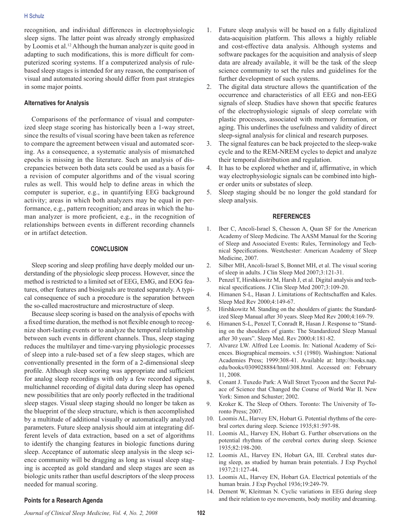recognition, and individual differences in electrophysiologic sleep signs. The latter point was already strongly emphasized by Loomis et al.<sup>12</sup> Although the human analyzer is quite good in adapting to such modifications, this is more difficult for computerized scoring systems. If a computerized analysis of rulebased sleep stages is intended for any reason, the comparison of visual and automated scoring should differ from past strategies in some major points.

#### **Alternatives for Analysis**

Comparisons of the performance of visual and computerized sleep stage scoring has historically been a 1-way street, since the results of visual scoring have been taken as reference to compare the agreement between visual and automated scoring. As a consequence, a systematic analysis of mismatched epochs is missing in the literature. Such an analysis of discrepancies between both data sets could be used as a basis for a revision of computer algorithms and of the visual scoring rules as well. This would help to define areas in which the computer is superior, e.g., in quantifying EEG background activity; areas in which both analyzers may be equal in performance, e.g., pattern recognition; and areas in which the human analyzer is more proficient, e.g., in the recognition of relationships between events in different recording channels or in artifact detection.

#### **Conclusion**

Sleep scoring and sleep profiling have deeply molded our understanding of the physiologic sleep process. However, since the method is restricted to a limited set of EEG, EMG, and EOG features, other features and biosignals are treated separately. A typical consequence of such a procedure is the separation between the so-called macrostructure and microstructure of sleep.

Because sleep scoring is based on the analysis of epochs with a fixed time duration, the method is not flexible enough to recognize short-lasting events or to analyze the temporal relationship between such events in different channels. Thus, sleep staging reduces the multilayer and time-varying physiologic processes of sleep into a rule-based set of a few sleep stages, which are conventionally presented in the form of a 2-dimensional sleep profile. Although sleep scoring was appropriate and sufficient for analog sleep recordings with only a few recorded signals, multichannel recording of digital data during sleep has opened new possibilities that are only poorly reflected in the traditional sleep stages. Visual sleep staging should no longer be taken as the blueprint of the sleep structure, which is then accomplished by a multitude of additional visually or automatically analyzed parameters. Future sleep analysis should aim at integrating different levels of data extraction, based on a set of algorithms to identify the changing features in biologic functions during sleep. Acceptance of automatic sleep analysis in the sleep science community will be dragging as long as visual sleep staging is accepted as gold standard and sleep stages are seen as biologic units rather than useful descriptors of the sleep process needed for manual scoring.

- 1. Future sleep analysis will be based on a fully digitalized data-acquisition platform. This allows a highly reliable and cost-effective data analysis. Although systems and software packages for the acquisition and analysis of sleep data are already available, it will be the task of the sleep science community to set the rules and guidelines for the further development of such systems.
- 2. The digital data structure allows the quantification of the occurrence and characteristics of all EEG and non-EEG signals of sleep. Studies have shown that specific features of the electrophysiologic signals of sleep correlate with plastic processes, associated with memory formation, or aging. This underlines the usefulness and validity of direct sleep-signal analysis for clinical and research purposes.
- 3. The signal features can be back projected to the sleep-wake cycle and to the REM-NREM cycles to depict and analyze their temporal distribution and regulation.
- 4. It has to be explored whether and if, affirmative, in which way electrophysiologic signals can be combined into higher order units or substates of sleep.
- 5. Sleep staging should be no longer the gold standard for sleep analysis.

#### **References**

- 1. Iber C, Ancoli-Israel S, Chesson A, Quan SF for the American Academy of Sleep Medicine. The AASM Manual for the Scoring of Sleep and Associated Events: Rules, Terminology and Technical Specifications. Westchester: American Academy of Sleep Medicine, 2007.
- 2. Silber MH, Ancoli-Israel S, Bonnet MH, et al. The visual scoring of sleep in adults. J Clin Sleep Med 2007;3:121-31.
- 3. Penzel T, Hirshkowitz M, Harsh J, et al. Digital analysis and technical specifications. J Clin Sleep Med 2007;3:109-20.
- 4. Himanen S-L, Hasan J. Limitations of Rechtschaffen and Kales. Sleep Med Rev 2000;4:149-67.
- 5. Hirshkowitz M. Standing on the shoulders of giants: the Standardized Sleep Manual after 30 years. Sleep Med Rev 2000;4:169-79.
- 6. Himanen S-L, Penzel T, Conradt R, Hasan J. Response to "Standing on the shoulders of giants: The Standardized Sleep Manual after 30 years". Sleep Med. Rev 2000;4:181-82.
- 7. Alvarez LW. Alfred Lee Loomis. In: National Academy of Sciences. Biographical memoirs. v.51 (1980). Washington: National Academies Press; 1999:308-41. Available at: http://books.nap. edu/books/0309028884/html/308.html. Accessed on: February 11, 2008.
- 8. Conant J. Tuxedo Park: A Wall Street Tycoon and the Secret Palace of Science that Changed the Course of World War II. New York: Simon and Schuster; 2002.
- 9. Kroker K. The Sleep of Others. Toronto: The University of Toronto Press; 2007.
- 10. Loomis AL, Harvey EN, Hobart G. Potential rhythms of the cerebral cortex during sleep. Science 1935;81:597-98.
- 11. Loomis AL, Harvey EN, Hobart G. Further observations on the potential rhythms of the cerebral cortex during sleep. Science 1935;82:198-200.
- 12. Loomis AL, Harvey EN, Hobart GA, III. Cerebral states during sleep, as studied by human brain potentials. J Exp Psychol 1937;21:127-44.
- 13. Loomis AL, Harvey EN, Hobart GA. Electrical potentials of the human brain. J Exp Psychol 1936;19:249-79.
- 14. Dement W, Kleitman N. Cyclic variations in EEG during sleep and their relation to eye movements, body motility and dreaming.

#### **Points for a Research Agenda**

*Journal of Clinical Sleep Medicine, Vol. 4, No. 2, 2008* **102**